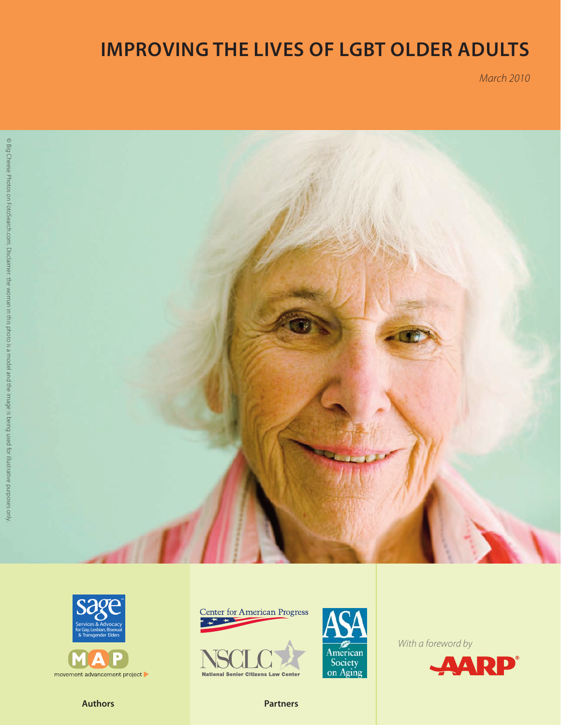# **Improving the Lives of LGBT Older Adults**

*March 2010*







movement advancement project







*With a foreword by*



**Authors Partners**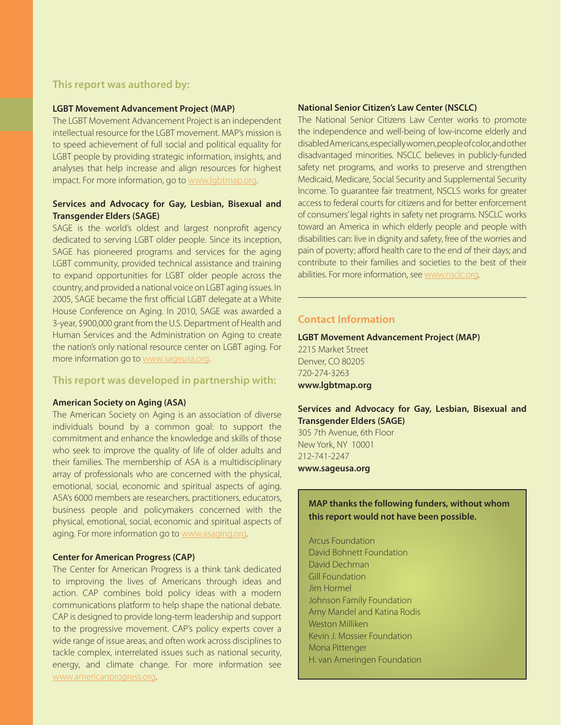## **This report was authored by:**

#### **LGBT Movement Advancement Project (MAP)**

The LGBT Movement Advancement Project is an independent intellectual resource for the LGBT movement. MAP's mission is to speed achievement of full social and political equality for LGBT people by providing strategic information, insights, and analyses that help increase and align resources for highest impact. For more information, go to www.lgbtmap.org.

#### **Services and Advocacy for Gay, Lesbian, Bisexual and Transgender Elders (SAGE)**

SAGE is the world's oldest and largest nonprofit agency dedicated to serving LGBT older people. Since its inception, SAGE has pioneered programs and services for the aging LGBT community, provided technical assistance and training to expand opportunities for LGBT older people across the country, and provided a national voice on LGBT aging issues. In 2005, SAGE became the first official LGBT delegate at a White House Conference on Aging. In 2010, SAGE was awarded a 3-year, \$900,000 grant from the U.S. Department of Health and Human Services and the Administration on Aging to create the nation's only national resource center on LGBT aging. For more information go to www.sageusa.org.

#### **This report was developed in partnership with:**

#### **American Society on Aging (ASA)**

The American Society on Aging is an association of diverse individuals bound by a common goal: to support the commitment and enhance the knowledge and skills of those who seek to improve the quality of life of older adults and their families. The membership of ASA is a multidisciplinary array of professionals who are concerned with the physical, emotional, social, economic and spiritual aspects of aging. ASA's 6000 members are researchers, practitioners, educators, business people and policymakers concerned with the physical, emotional, social, economic and spiritual aspects of aging. For more information go to www.asaging.org.

#### **Center for American Progress (CAP)**

The Center for American Progress is a think tank dedicated to improving the lives of Americans through ideas and action. CAP combines bold policy ideas with a modern communications platform to help shape the national debate. CAP is designed to provide long-term leadership and support to the progressive movement. CAP's policy experts cover a wide range of issue areas, and often work across disciplines to tackle complex, interrelated issues such as national security, energy, and climate change. For more information see www.americanprogress.org.

#### **National Senior Citizen's Law Center (NSCLC)**

The National Senior Citizens Law Center works to promote the independence and well-being of low-income elderly and disabled Americans, especially women, people of color, and other disadvantaged minorities. NSCLC believes in publicly-funded safety net programs, and works to preserve and strengthen Medicaid, Medicare, Social Security and Supplemental Security Income. To guarantee fair treatment, NSCLS works for greater access to federal courts for citizens and for better enforcement of consumers' legal rights in safety net programs. NSCLC works toward an America in which elderly people and people with disabilities can: live in dignity and safety, free of the worries and pain of poverty; afford health care to the end of their days; and contribute to their families and societies to the best of their abilities. For more information, see www.nsclc.org.

## **Contact Information**

**LGBT Movement Advancement Project (MAP)** 2215 Market Street Denver, CO 80205 720-274-3263 **www.lgbtmap.org**

#### **Services and Advocacy for Gay, Lesbian, Bisexual and Transgender Elders (SAGE)**

305 7th Avenue, 6th Floor New York, NY 10001 212-741-2247 **www.sageusa.org**

## **MAP thanks the following funders, without whom this report would not have been possible.**

Arcus Foundation David Bohnett Foundation David Dechman Gill Foundation Jim Hormel Johnson Family Foundation Amy Mandel and Katina Rodis Weston Milliken Kevin J. Mossier Foundation Mona Pittenger H. van Ameringen Foundation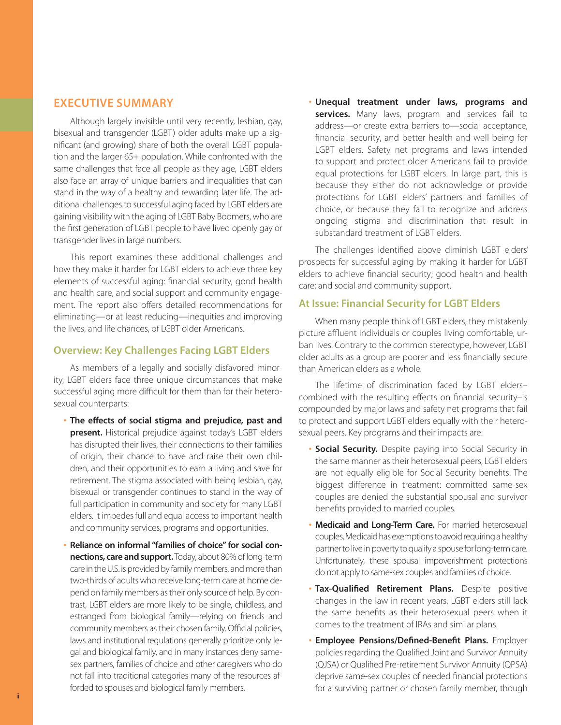# **EXECUTIVE SUMMARY**

Although largely invisible until very recently, lesbian, gay, bisexual and transgender (LGBT) older adults make up a significant (and growing) share of both the overall LGBT population and the larger 65+ population. While confronted with the same challenges that face all people as they age, LGBT elders also face an array of unique barriers and inequalities that can stand in the way of a healthy and rewarding later life. The additional challenges to successful aging faced by LGBT elders are gaining visibility with the aging of LGBT Baby Boomers, who are the first generation of LGBT people to have lived openly gay or transgender lives in large numbers.

This report examines these additional challenges and how they make it harder for LGBT elders to achieve three key elements of successful aging: financial security, good health and health care, and social support and community engagement. The report also offers detailed recommendations for eliminating—or at least reducing—inequities and improving the lives, and life chances, of LGBT older Americans.

## **Overview: Key Challenges Facing LGBT Elders**

As members of a legally and socially disfavored minority, LGBT elders face three unique circumstances that make successful aging more difficult for them than for their heterosexual counterparts:

- **The effects of social stigma and prejudice, past and present.** Historical prejudice against today's LGBT elders has disrupted their lives, their connections to their families of origin, their chance to have and raise their own children, and their opportunities to earn a living and save for retirement. The stigma associated with being lesbian, gay, bisexual or transgender continues to stand in the way of full participation in community and society for many LGBT elders. It impedes full and equal access to important health and community services, programs and opportunities.
- **Reliance on informal "families of choice" for social connections, care and support.** Today, about 80% of long-term care in the U.S. is provided by family members, and more than two-thirds of adults who receive long-term care at home depend on family members as their only source of help. By contrast, LGBT elders are more likely to be single, childless, and estranged from biological family—relying on friends and community members as their chosen family. Official policies, laws and institutional regulations generally prioritize only legal and biological family, and in many instances deny samesex partners, families of choice and other caregivers who do not fall into traditional categories many of the resources afforded to spouses and biological family members.

• **Unequal treatment under laws, programs and**  services. Many laws, program and services fail to address—or create extra barriers to—social acceptance, financial security, and better health and well-being for LGBT elders. Safety net programs and laws intended to support and protect older Americans fail to provide equal protections for LGBT elders. In large part, this is because they either do not acknowledge or provide protections for LGBT elders' partners and families of choice, or because they fail to recognize and address ongoing stigma and discrimination that result in substandard treatment of LGBT elders.

The challenges identified above diminish LGBT elders' prospects for successful aging by making it harder for LGBT elders to achieve financial security; good health and health care; and social and community support.

# **At Issue: Financial Security for LGBT Elders**

When many people think of LGBT elders, they mistakenly picture affluent individuals or couples living comfortable, urban lives. Contrary to the common stereotype, however, LGBT older adults as a group are poorer and less financially secure than American elders as a whole.

The lifetime of discrimination faced by LGBT elders– combined with the resulting effects on financial security–is compounded by major laws and safety net programs that fail to protect and support LGBT elders equally with their heterosexual peers. Key programs and their impacts are:

- **Social Security.** Despite paying into Social Security in the same manner as their heterosexual peers, LGBT elders are not equally eligible for Social Security benefits. The biggest difference in treatment: committed same-sex couples are denied the substantial spousal and survivor benefits provided to married couples.
- **Medicaid and Long-Term Care.** For married heterosexual couples, Medicaid has exemptions to avoid requiring a healthy partner to live in poverty to qualify a spouse for long-term care. Unfortunately, these spousal impoverishment protections do not apply to same-sex couples and families of choice.
- **Tax-Qualified Retirement Plans.** Despite positive changes in the law in recent years, LGBT elders still lack the same benefits as their heterosexual peers when it comes to the treatment of IRAs and similar plans.
- **Employee Pensions/Defined-Benefit Plans.** Employer policies regarding the Qualified Joint and Survivor Annuity (QJSA) or Qualified Pre-retirement Survivor Annuity (QPSA) deprive same-sex couples of needed financial protections for a surviving partner or chosen family member, though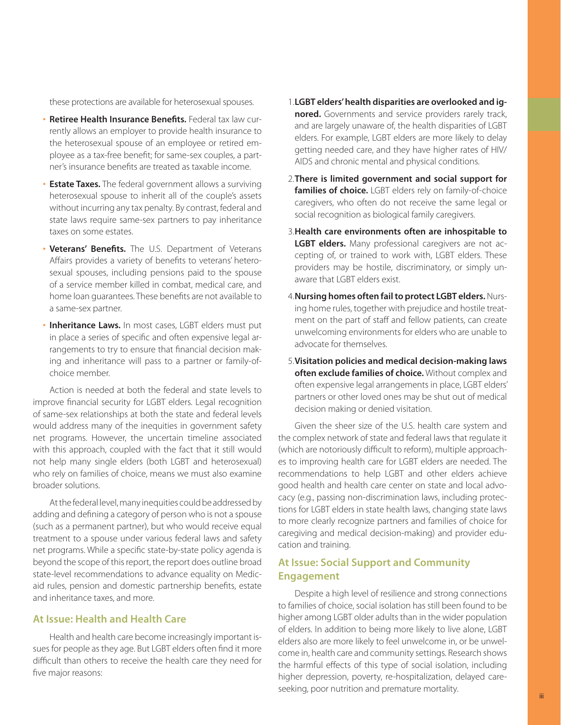these protections are available for heterosexual spouses.

- **Retiree Health Insurance Benefits.** Federal tax law currently allows an employer to provide health insurance to the heterosexual spouse of an employee or retired employee as a tax-free benefit; for same-sex couples, a partner's insurance benefits are treated as taxable income.
- **Estate Taxes.** The federal government allows a surviving heterosexual spouse to inherit all of the couple's assets without incurring any tax penalty. By contrast, federal and state laws require same-sex partners to pay inheritance taxes on some estates.
- **Veterans' Benefits.** The U.S. Department of Veterans Affairs provides a variety of benefits to veterans' heterosexual spouses, including pensions paid to the spouse of a service member killed in combat, medical care, and home loan guarantees. These benefits are not available to a same-sex partner.
- **Inheritance Laws.** In most cases, LGBT elders must put in place a series of specific and often expensive legal arrangements to try to ensure that financial decision making and inheritance will pass to a partner or family-ofchoice member.

Action is needed at both the federal and state levels to improve financial security for LGBT elders. Legal recognition of same-sex relationships at both the state and federal levels would address many of the inequities in government safety net programs. However, the uncertain timeline associated with this approach, coupled with the fact that it still would not help many single elders (both LGBT and heterosexual) who rely on families of choice, means we must also examine broader solutions.

At the federal level, many inequities could be addressed by adding and defining a category of person who is not a spouse (such as a permanent partner), but who would receive equal treatment to a spouse under various federal laws and safety net programs. While a specific state-by-state policy agenda is beyond the scope of this report, the report does outline broad state-level recommendations to advance equality on Medicaid rules, pension and domestic partnership benefits, estate and inheritance taxes, and more.

# **At Issue: Health and Health Care**

Health and health care become increasingly important issues for people as they age. But LGBT elders often find it more difficult than others to receive the health care they need for five major reasons:

- 1.**LGBT elders' health disparities are overlooked and ignored.** Governments and service providers rarely track, and are largely unaware of, the health disparities of LGBT elders. For example, LGBT elders are more likely to delay getting needed care, and they have higher rates of HIV/ AIDS and chronic mental and physical conditions.
- 2. **There is limited government and social support for families of choice.** LGBT elders rely on family-of-choice caregivers, who often do not receive the same legal or social recognition as biological family caregivers.
- 3.**Health care environments often are inhospitable to LGBT elders.** Many professional caregivers are not accepting of, or trained to work with, LGBT elders. These providers may be hostile, discriminatory, or simply unaware that LGBT elders exist.
- 4.**Nursing homes often fail to protect LGBT elders.** Nursing home rules, together with prejudice and hostile treatment on the part of staff and fellow patients, can create unwelcoming environments for elders who are unable to advocate for themselves.
- 5. **Visitation policies and medical decision-making laws often exclude families of choice.** Without complex and often expensive legal arrangements in place, LGBT elders' partners or other loved ones may be shut out of medical decision making or denied visitation.

Given the sheer size of the U.S. health care system and the complex network of state and federal laws that regulate it (which are notoriously difficult to reform), multiple approaches to improving health care for LGBT elders are needed. The recommendations to help LGBT and other elders achieve good health and health care center on state and local advocacy (e.g., passing non-discrimination laws, including protections for LGBT elders in state health laws, changing state laws to more clearly recognize partners and families of choice for caregiving and medical decision-making) and provider education and training.

## **At Issue: Social Support and Community Engagement**

Despite a high level of resilience and strong connections to families of choice, social isolation has still been found to be higher among LGBT older adults than in the wider population of elders. In addition to being more likely to live alone, LGBT elders also are more likely to feel unwelcome in, or be unwelcome in, health care and community settings. Research shows the harmful effects of this type of social isolation, including higher depression, poverty, re-hospitalization, delayed careseeking, poor nutrition and premature mortality.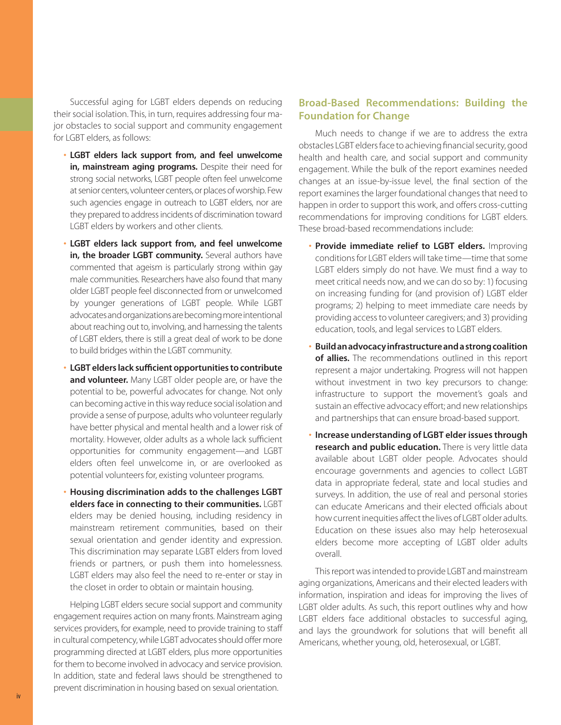Successful aging for LGBT elders depends on reducing their social isolation. This, in turn, requires addressing four major obstacles to social support and community engagement for LGBT elders, as follows:

- **LGBT elders lack support from, and feel unwelcome in, mainstream aging programs.** Despite their need for strong social networks, LGBT people often feel unwelcome at senior centers, volunteer centers, or places of worship. Few such agencies engage in outreach to LGBT elders, nor are they prepared to address incidents of discrimination toward LGBT elders by workers and other clients.
- **LGBT elders lack support from, and feel unwelcome in, the broader LGBT community.** Several authors have commented that ageism is particularly strong within gay male communities. Researchers have also found that many older LGBT people feel disconnected from or unwelcomed by younger generations of LGBT people. While LGBT advocates and organizations are becoming more intentional about reaching out to, involving, and harnessing the talents of LGBT elders, there is still a great deal of work to be done to build bridges within the LGBT community.
- **LGBT elders lack sufficient opportunities to contribute and volunteer.** Many LGBT older people are, or have the potential to be, powerful advocates for change. Not only can becoming active in this way reduce social isolation and provide a sense of purpose, adults who volunteer regularly have better physical and mental health and a lower risk of mortality. However, older adults as a whole lack sufficient opportunities for community engagement—and LGBT elders often feel unwelcome in, or are overlooked as potential volunteers for, existing volunteer programs.
- **Housing discrimination adds to the challenges LGBT elders face in connecting to their communities.** LGBT elders may be denied housing, including residency in mainstream retirement communities, based on their sexual orientation and gender identity and expression. This discrimination may separate LGBT elders from loved friends or partners, or push them into homelessness. LGBT elders may also feel the need to re-enter or stay in the closet in order to obtain or maintain housing.

Helping LGBT elders secure social support and community engagement requires action on many fronts. Mainstream aging services providers, for example, need to provide training to staff in cultural competency, while LGBT advocates should offer more programming directed at LGBT elders, plus more opportunities for them to become involved in advocacy and service provision. In addition, state and federal laws should be strengthened to prevent discrimination in housing based on sexual orientation.

# **Broad-Based Recommendations: Building the Foundation for Change**

Much needs to change if we are to address the extra obstacles LGBT elders face to achieving financial security, good health and health care, and social support and community engagement. While the bulk of the report examines needed changes at an issue-by-issue level, the final section of the report examines the larger foundational changes that need to happen in order to support this work, and offers cross-cutting recommendations for improving conditions for LGBT elders. These broad-based recommendations include:

- **Provide immediate relief to LGBT elders.** Improving conditions for LGBT elders will take time—time that some LGBT elders simply do not have. We must find a way to meet critical needs now, and we can do so by: 1) focusing on increasing funding for (and provision of) LGBT elder programs; 2) helping to meet immediate care needs by providing access to volunteer caregivers; and 3) providing education, tools, and legal services to LGBT elders.
- **Build an advocacy infrastructure and a strong coalition of allies.** The recommendations outlined in this report represent a major undertaking. Progress will not happen without investment in two key precursors to change: infrastructure to support the movement's goals and sustain an effective advocacy effort; and new relationships and partnerships that can ensure broad-based support.
- **Increase understanding of LGBT elder issues through research and public education.** There is very little data available about LGBT older people. Advocates should encourage governments and agencies to collect LGBT data in appropriate federal, state and local studies and surveys. In addition, the use of real and personal stories can educate Americans and their elected officials about how current inequities affect the lives of LGBT older adults. Education on these issues also may help heterosexual elders become more accepting of LGBT older adults overall.

This report was intended to provide LGBT and mainstream aging organizations, Americans and their elected leaders with information, inspiration and ideas for improving the lives of LGBT older adults. As such, this report outlines why and how LGBT elders face additional obstacles to successful aging, and lays the groundwork for solutions that will benefit all Americans, whether young, old, heterosexual, or LGBT.